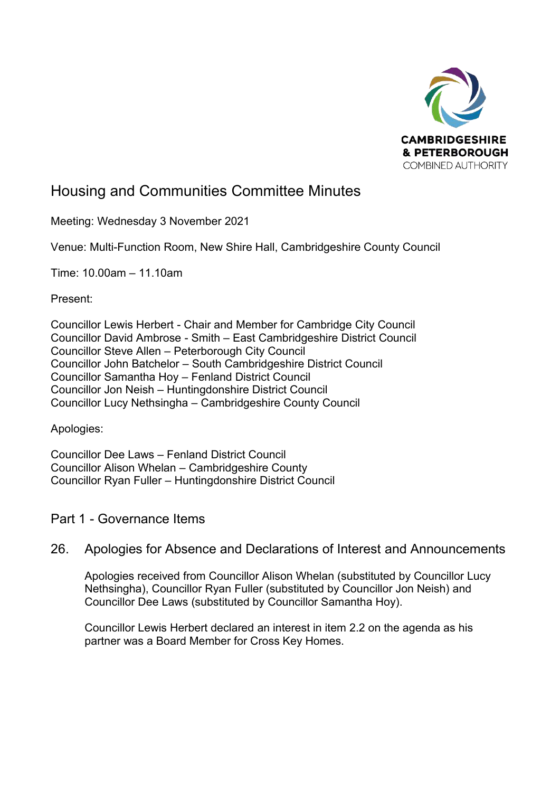

# Housing and Communities Committee Minutes

Meeting: Wednesday 3 November 2021

Venue: Multi-Function Room, New Shire Hall, Cambridgeshire County Council

Time: 10.00am – 11.10am

Present:

Councillor Lewis Herbert - Chair and Member for Cambridge City Council Councillor David Ambrose - Smith – East Cambridgeshire District Council Councillor Steve Allen – Peterborough City Council Councillor John Batchelor – South Cambridgeshire District Council Councillor Samantha Hoy – Fenland District Council Councillor Jon Neish – Huntingdonshire District Council Councillor Lucy Nethsingha – Cambridgeshire County Council

Apologies:

Councillor Dee Laws – Fenland District Council Councillor Alison Whelan – Cambridgeshire County Councillor Ryan Fuller – Huntingdonshire District Council

Part 1 - Governance Items

## 26. Apologies for Absence and Declarations of Interest and Announcements

Apologies received from Councillor Alison Whelan (substituted by Councillor Lucy Nethsingha), Councillor Ryan Fuller (substituted by Councillor Jon Neish) and Councillor Dee Laws (substituted by Councillor Samantha Hoy).

Councillor Lewis Herbert declared an interest in item 2.2 on the agenda as his partner was a Board Member for Cross Key Homes.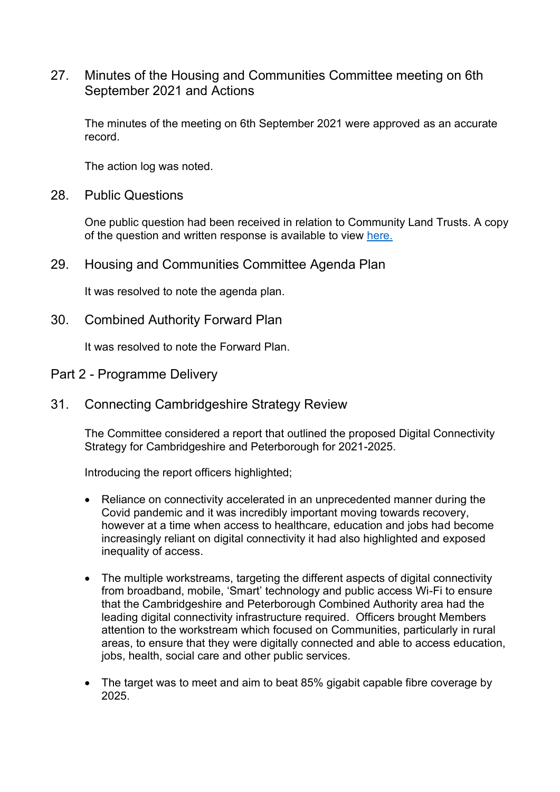### 27. Minutes of the Housing and Communities Committee meeting on 6th September 2021 and Actions

The minutes of the meeting on 6th September 2021 were approved as an accurate record.

The action log was noted.

28. Public Questions

One public question had been received in relation to Community Land Trusts. A copy of the question and written response is available to view [here.](https://cambridgeshirepeterboroughcagov.cmis.uk.com/Document.ashx?czJKcaeAi5tUFL1DTL2UE4zNRBcoShgo=evmPF1thkapfaszoTv5d5h4xBrKoOTs4WP9sbuOg5k%2fQW6yVJ4j8Ew%3d%3d&rUzwRPf%2bZ3zd4E7Ikn8Lyw%3d%3d=pwRE6AGJFLDNlh225F5QMaQWCtPHwdhUfCZ%2fLUQzgA2uL5jNRG4jdQ%3d%3d&mCTIbCubSFfXsDGW9IXnlg%3d%3d=jUgQCaU3L68%3d&kCx1AnS9%2fpWZQ40DXFvdEw%3d%3d=iNBnLg5tJNw%3d&uJovDxwdjMPoYv%2bAJvYtyA%3d%3d=ctNJFf55vVA%3d&FgPlIEJYlotS%2bYGoBi5olA%3d%3d=NHdURQburHA%3d&d9Qjj0ag1Pd993jsyOJqFvmyB7X0CSQK=ctNJFf55vVA%3d&WGewmoAfeNR9xqBux0r1Q8Za60lavYmz=ctNJFf55vVA%3d&WGewmoAfeNQ16B2MHuCpMRKZMwaG1PaO=ctNJFf55vVA%3d)

29. Housing and Communities Committee Agenda Plan

It was resolved to note the agenda plan.

30. Combined Authority Forward Plan

It was resolved to note the Forward Plan.

- Part 2 Programme Delivery
- 31. Connecting Cambridgeshire Strategy Review

The Committee considered a report that outlined the proposed Digital Connectivity Strategy for Cambridgeshire and Peterborough for 2021-2025.

Introducing the report officers highlighted;

- Reliance on connectivity accelerated in an unprecedented manner during the Covid pandemic and it was incredibly important moving towards recovery, however at a time when access to healthcare, education and jobs had become increasingly reliant on digital connectivity it had also highlighted and exposed inequality of access.
- The multiple workstreams, targeting the different aspects of digital connectivity from broadband, mobile, 'Smart' technology and public access Wi-Fi to ensure that the Cambridgeshire and Peterborough Combined Authority area had the leading digital connectivity infrastructure required. Officers brought Members attention to the workstream which focused on Communities, particularly in rural areas, to ensure that they were digitally connected and able to access education, jobs, health, social care and other public services.
- The target was to meet and aim to beat 85% gigabit capable fibre coverage by 2025.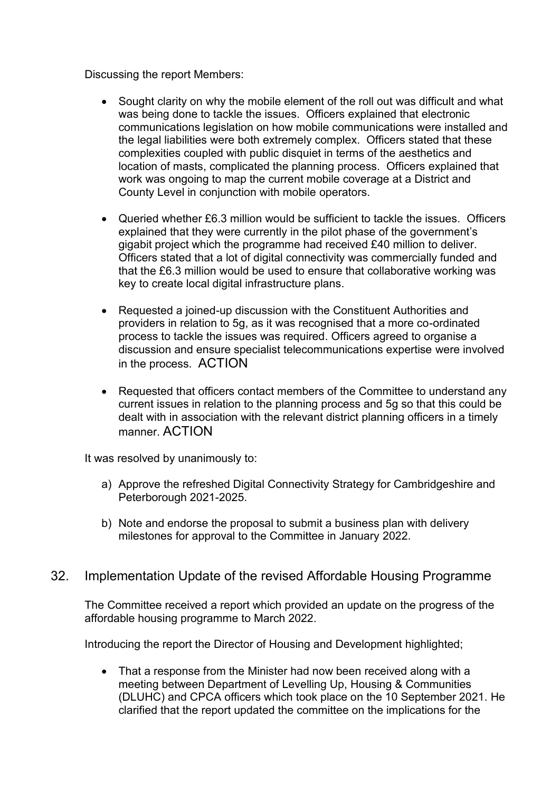Discussing the report Members:

- Sought clarity on why the mobile element of the roll out was difficult and what was being done to tackle the issues. Officers explained that electronic communications legislation on how mobile communications were installed and the legal liabilities were both extremely complex. Officers stated that these complexities coupled with public disquiet in terms of the aesthetics and location of masts, complicated the planning process. Officers explained that work was ongoing to map the current mobile coverage at a District and County Level in conjunction with mobile operators.
- Queried whether £6.3 million would be sufficient to tackle the issues. Officers explained that they were currently in the pilot phase of the government's gigabit project which the programme had received £40 million to deliver. Officers stated that a lot of digital connectivity was commercially funded and that the £6.3 million would be used to ensure that collaborative working was key to create local digital infrastructure plans.
- Requested a joined-up discussion with the Constituent Authorities and providers in relation to 5g, as it was recognised that a more co-ordinated process to tackle the issues was required. Officers agreed to organise a discussion and ensure specialist telecommunications expertise were involved in the process. ACTION
- Requested that officers contact members of the Committee to understand any current issues in relation to the planning process and 5g so that this could be dealt with in association with the relevant district planning officers in a timely manner. ACTION

It was resolved by unanimously to:

- a) Approve the refreshed Digital Connectivity Strategy for Cambridgeshire and Peterborough 2021-2025.
- b) Note and endorse the proposal to submit a business plan with delivery milestones for approval to the Committee in January 2022.

### 32. Implementation Update of the revised Affordable Housing Programme

The Committee received a report which provided an update on the progress of the affordable housing programme to March 2022.

Introducing the report the Director of Housing and Development highlighted;

• That a response from the Minister had now been received along with a meeting between Department of Levelling Up, Housing & Communities (DLUHC) and CPCA officers which took place on the 10 September 2021. He clarified that the report updated the committee on the implications for the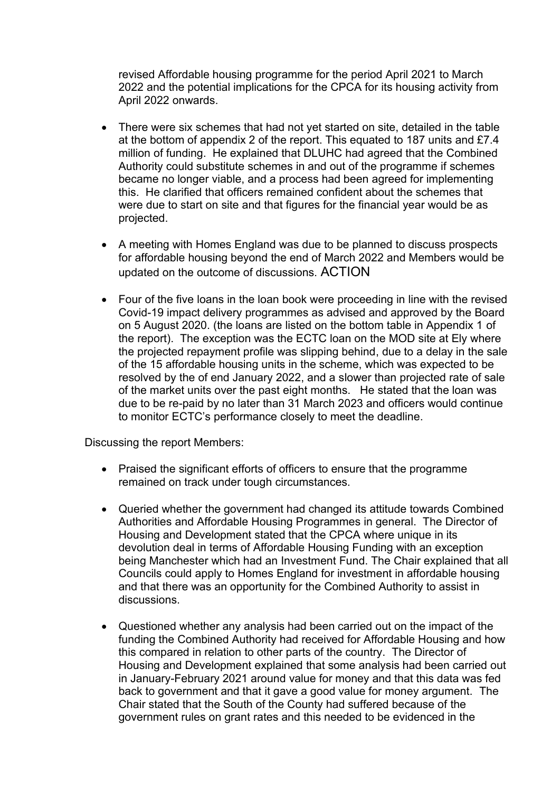revised Affordable housing programme for the period April 2021 to March 2022 and the potential implications for the CPCA for its housing activity from April 2022 onwards.

- There were six schemes that had not yet started on site, detailed in the table at the bottom of appendix 2 of the report. This equated to 187 units and £7.4 million of funding. He explained that DLUHC had agreed that the Combined Authority could substitute schemes in and out of the programme if schemes became no longer viable, and a process had been agreed for implementing this. He clarified that officers remained confident about the schemes that were due to start on site and that figures for the financial year would be as projected.
- A meeting with Homes England was due to be planned to discuss prospects for affordable housing beyond the end of March 2022 and Members would be updated on the outcome of discussions. ACTION
- Four of the five loans in the loan book were proceeding in line with the revised Covid-19 impact delivery programmes as advised and approved by the Board on 5 August 2020. (the loans are listed on the bottom table in Appendix 1 of the report). The exception was the ECTC loan on the MOD site at Ely where the projected repayment profile was slipping behind, due to a delay in the sale of the 15 affordable housing units in the scheme, which was expected to be resolved by the of end January 2022, and a slower than projected rate of sale of the market units over the past eight months. He stated that the loan was due to be re-paid by no later than 31 March 2023 and officers would continue to monitor ECTC's performance closely to meet the deadline.

Discussing the report Members:

- Praised the significant efforts of officers to ensure that the programme remained on track under tough circumstances.
- Queried whether the government had changed its attitude towards Combined Authorities and Affordable Housing Programmes in general. The Director of Housing and Development stated that the CPCA where unique in its devolution deal in terms of Affordable Housing Funding with an exception being Manchester which had an Investment Fund. The Chair explained that all Councils could apply to Homes England for investment in affordable housing and that there was an opportunity for the Combined Authority to assist in discussions.
- Questioned whether any analysis had been carried out on the impact of the funding the Combined Authority had received for Affordable Housing and how this compared in relation to other parts of the country. The Director of Housing and Development explained that some analysis had been carried out in January-February 2021 around value for money and that this data was fed back to government and that it gave a good value for money argument. The Chair stated that the South of the County had suffered because of the government rules on grant rates and this needed to be evidenced in the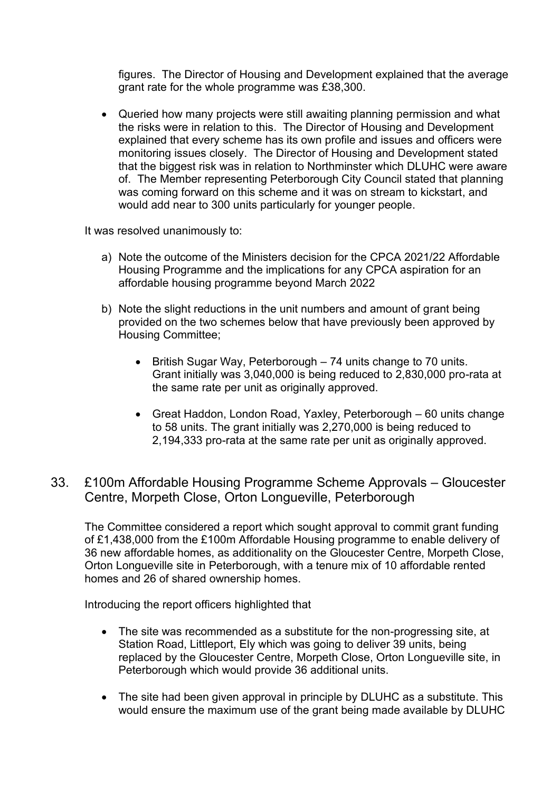figures. The Director of Housing and Development explained that the average grant rate for the whole programme was £38,300.

• Queried how many projects were still awaiting planning permission and what the risks were in relation to this. The Director of Housing and Development explained that every scheme has its own profile and issues and officers were monitoring issues closely. The Director of Housing and Development stated that the biggest risk was in relation to Northminster which DLUHC were aware of. The Member representing Peterborough City Council stated that planning was coming forward on this scheme and it was on stream to kickstart, and would add near to 300 units particularly for younger people.

It was resolved unanimously to:

- a) Note the outcome of the Ministers decision for the CPCA 2021/22 Affordable Housing Programme and the implications for any CPCA aspiration for an affordable housing programme beyond March 2022
- b) Note the slight reductions in the unit numbers and amount of grant being provided on the two schemes below that have previously been approved by Housing Committee;
	- British Sugar Way, Peterborough 74 units change to 70 units. Grant initially was 3,040,000 is being reduced to 2,830,000 pro-rata at the same rate per unit as originally approved.
	- Great Haddon, London Road, Yaxley, Peterborough 60 units change to 58 units. The grant initially was 2,270,000 is being reduced to 2,194,333 pro-rata at the same rate per unit as originally approved.
- 33. £100m Affordable Housing Programme Scheme Approvals Gloucester Centre, Morpeth Close, Orton Longueville, Peterborough

The Committee considered a report which sought approval to commit grant funding of £1,438,000 from the £100m Affordable Housing programme to enable delivery of 36 new affordable homes, as additionality on the Gloucester Centre, Morpeth Close, Orton Longueville site in Peterborough, with a tenure mix of 10 affordable rented homes and 26 of shared ownership homes.

Introducing the report officers highlighted that

- The site was recommended as a substitute for the non-progressing site, at Station Road, Littleport, Ely which was going to deliver 39 units, being replaced by the Gloucester Centre, Morpeth Close, Orton Longueville site, in Peterborough which would provide 36 additional units.
- The site had been given approval in principle by DLUHC as a substitute. This would ensure the maximum use of the grant being made available by DLUHC